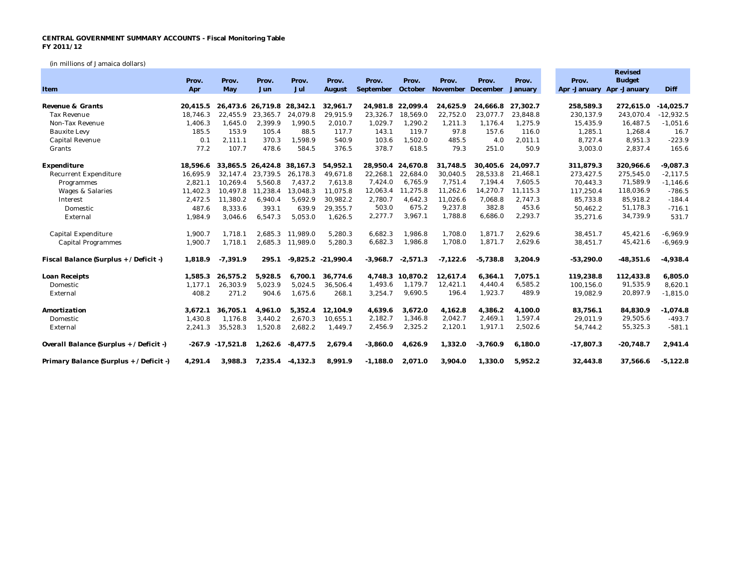## **CENTRAL GOVERNMENT SUMMARY ACCOUNTS - Fiscal Monitoring Table FY 2011/12**

(in millions of Jamaica dollars)

|                                         |          |                     |                   |            |             |            |                   |                           |            |          |             | Revised                   |             |
|-----------------------------------------|----------|---------------------|-------------------|------------|-------------|------------|-------------------|---------------------------|------------|----------|-------------|---------------------------|-------------|
|                                         | Prov.    | Prov.               | Prov.             | Prov.      | Prov.       | Prov.      | Prov.             | Prov.                     | Prov.      | Prov.    | Prov.       | <b>Budget</b>             |             |
| Item                                    | Apr      | May                 | Jun               | Jul        | August      | September  |                   | October November December |            | January  |             | Apr -January Apr -January | Diff        |
| Revenue & Grants                        | 20.415.5 |                     | 26.473.6 26.719.8 | 28,342.1   | 32,961.7    |            | 24,981.8 22,099.4 | 24,625.9                  | 24.666.8   | 27.302.7 | 258,589.3   | 272.615.0                 | $-14,025.7$ |
| <b>Tax Revenue</b>                      | 18.746.3 | 22,455.9            | 23,365.7          | 24.079.8   | 29,915.9    | 23,326.7   | 18,569.0          | 22,752.0                  | 23.077.7   | 23,848.8 | 230,137.9   | 243,070.4                 | $-12,932.5$ |
| Non-Tax Revenue                         | 1,406.3  | 1,645.0             | 2,399.9           | 1,990.5    | 2,010.7     | 1,029.7    | 1,290.2           | 1,211.3                   | 1,176.4    | 1,275.9  | 15,435.9    | 16,487.5                  | $-1,051.6$  |
| <b>Bauxite Levy</b>                     | 185.5    | 153.9               | 105.4             | 88.5       | 117.7       | 143.1      | 119.7             | 97.8                      | 157.6      | 116.0    | 1,285.1     | 1,268.4                   | 16.7        |
| Capital Revenue                         | 0.1      | 2,111.1             | 370.3             | 1,598.9    | 540.9       | 103.6      | 1,502.0           | 485.5                     | 4.0        | 2,011.1  | 8,727.4     | 8,951.3                   | $-223.9$    |
| Grants                                  | 77.2     | 107.7               | 478.6             | 584.5      | 376.5       | 378.7      | 618.5             | 79.3                      | 251.0      | 50.9     | 3,003.0     | 2,837.4                   | 165.6       |
| Expenditure                             | 18,596.6 |                     | 33.865.5 26.424.8 | 38,167.3   | 54,952.1    | 28,950.4   | 24.670.8          | 31,748.5                  | 30.405.6   | 24,097.7 | 311,879.3   | 320,966.6                 | $-9,087.3$  |
| <b>Recurrent Expenditure</b>            | 16,695.9 | 32,147.4            | 23,739.5          | 26,178.3   | 49,671.8    | 22,268.1   | 22,684.0          | 30,040.5                  | 28.533.8   | 21,468.1 | 273,427.5   | 275,545.0                 | $-2,117.5$  |
| Programmes                              | 2,821.1  | 10,269.4            | 5,560.8           | 7,437.2    | 7,613.8     | 7,424.0    | 6,765.9           | 7,751.4                   | 7,194.4    | 7,605.5  | 70,443.3    | 71,589.9                  | $-1,146.6$  |
| <b>Wages &amp; Salaries</b>             | 11.402.3 | 10.497.8            | 11.238.4          | 13.048.3   | 11.075.8    | 12,063.4   | 11,275.8          | 11,262.6                  | 14,270.7   | 11,115.3 | 117,250.4   | 118,036.9                 | $-786.5$    |
| Interest                                | 2,472.5  | 11,380.2            | 6,940.4           | 5,692.9    | 30,982.2    | 2,780.7    | 4,642.3           | 11,026.6                  | 7,068.8    | 2,747.3  | 85,733.8    | 85,918.2                  | $-184.4$    |
| Domestic                                | 487.6    | 8,333.6             | 393.1             | 639.9      | 29,355.7    | 503.0      | 675.2             | 9,237.8                   | 382.8      | 453.6    | 50,462.2    | 51,178.3                  | $-716.1$    |
| External                                | 1,984.9  | 3,046.6             | 6,547.3           | 5,053.0    | 1,626.5     | 2,277.7    | 3,967.1           | 1,788.8                   | 6,686.0    | 2,293.7  | 35,271.6    | 34,739.9                  | 531.7       |
| Capital Expenditure                     | 1,900.7  | 1.718.1             | 2.685.3           | 11.989.0   | 5,280.3     | 6.682.3    | 1.986.8           | 1.708.0                   | 1.871.7    | 2.629.6  | 38,451.7    | 45,421.6                  | $-6,969.9$  |
| <b>Capital Programmes</b>               | 1,900.7  | 1,718.1             | 2,685.3           | 11,989.0   | 5,280.3     | 6,682.3    | 1,986.8           | 1,708.0                   | 1,871.7    | 2,629.6  | 38,451.7    | 45,421.6                  | $-6,969.9$  |
| Fiscal Balance (Surplus + / Deficit -)  | 1,818.9  | $-7,391.9$          | 295.1             | $-9,825.2$ | $-21,990.4$ | $-3,968.7$ | $-2,571.3$        | $-7,122.6$                | $-5,738.8$ | 3,204.9  | $-53,290.0$ | $-48,351.6$               | $-4,938.4$  |
| Loan Receipts                           | 1,585.3  | 26,575.2            | 5,928.5           | 6,700.1    | 36,774.6    | 4,748.3    | 10,870.2          | 12,617.4                  | 6,364.1    | 7,075.1  | 119,238.8   | 112,433.8                 | 6,805.0     |
| Domestic                                | 1,177.1  | 26,303.9            | 5,023.9           | 5,024.5    | 36,506.4    | 1,493.6    | 1.179.7           | 12.421.1                  | 4,440.4    | 6,585.2  | 100,156.0   | 91,535.9                  | 8,620.1     |
| External                                | 408.2    | 271.2               | 904.6             | 1,675.6    | 268.1       | 3,254.7    | 9,690.5           | 196.4                     | 1,923.7    | 489.9    | 19,082.9    | 20,897.9                  | $-1,815.0$  |
| Amortization                            | 3,672.1  | 36,705.1            | 4,961.0           | 5,352.4    | 12,104.9    | 4,639.6    | 3,672.0           | 4,162.8                   | 4,386.2    | 4,100.0  | 83,756.1    | 84,830.9                  | $-1,074.8$  |
| Domestic                                | 1,430.8  | 1.176.8             | 3,440.2           | 2.670.3    | 10,655.1    | 2,182.7    | 1,346.8           | 2,042.7                   | 2,469.1    | 1,597.4  | 29,011.9    | 29,505.6                  | $-493.7$    |
| External                                | 2,241.3  | 35,528.3            | 1,520.8           | 2,682.2    | 1,449.7     | 2,456.9    | 2,325.2           | 2,120.1                   | 1,917.1    | 2,502.6  | 54,744.2    | 55,325.3                  | $-581.1$    |
| Overall Balance (Surplus + / Deficit -) |          | $-267.9 - 17.521.8$ | 1,262.6           | $-8,477.5$ | 2,679.4     | $-3,860.0$ | 4,626.9           | 1,332.0                   | $-3,760.9$ | 6,180.0  | $-17,807.3$ | $-20,748.7$               | 2,941.4     |
| Primary Balance (Surplus + / Deficit -) | 4,291.4  | 3.988.3             | 7,235.4           | $-4,132.3$ | 8,991.9     | $-1,188.0$ | 2.071.0           | 3,904.0                   | 1,330.0    | 5,952.2  | 32,443.8    | 37.566.6                  | $-5,122.8$  |